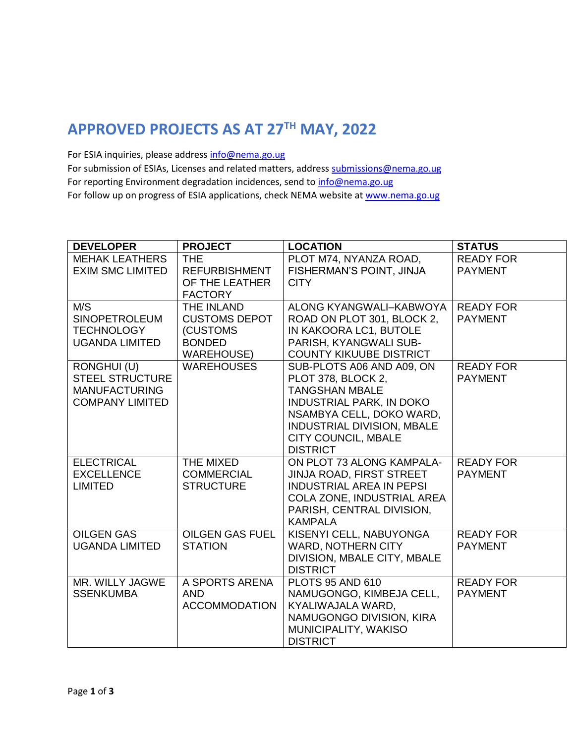## **APPROVED PROJECTS AS AT 27TH MAY, 2022**

For ESIA inquiries, please addres[s info@nema.go.ug](mailto:info@nema.go.ug)

For submission of ESIAs, Licenses and related matters, address [submissions@nema.go.ug](mailto:submissions@nema.go.ug) For reporting Environment degradation incidences, send t[o info@nema.go.ug](mailto:info@nema.go.ug) For follow up on progress of ESIA applications, check NEMA website at [www.nema.go.ug](http://www.nema.go.ug/)

| <b>DEVELOPER</b>                                                                        | <b>PROJECT</b>                                                                       | <b>LOCATION</b>                                                                                                                                                                                                               | <b>STATUS</b>                      |
|-----------------------------------------------------------------------------------------|--------------------------------------------------------------------------------------|-------------------------------------------------------------------------------------------------------------------------------------------------------------------------------------------------------------------------------|------------------------------------|
| <b>MEHAK LEATHERS</b><br><b>EXIM SMC LIMITED</b>                                        | <b>THE</b><br><b>REFURBISHMENT</b><br>OF THE LEATHER<br><b>FACTORY</b>               | PLOT M74, NYANZA ROAD,<br>FISHERMAN'S POINT, JINJA<br><b>CITY</b>                                                                                                                                                             | <b>READY FOR</b><br><b>PAYMENT</b> |
| M/S<br><b>SINOPETROLEUM</b><br><b>TECHNOLOGY</b><br><b>UGANDA LIMITED</b>               | THE INLAND<br><b>CUSTOMS DEPOT</b><br>(CUSTOMS<br><b>BONDED</b><br><b>WAREHOUSE)</b> | ALONG KYANGWALI-KABWOYA<br>ROAD ON PLOT 301, BLOCK 2,<br>IN KAKOORA LC1, BUTOLE<br>PARISH, KYANGWALI SUB-<br><b>COUNTY KIKUUBE DISTRICT</b>                                                                                   | <b>READY FOR</b><br><b>PAYMENT</b> |
| RONGHUI (U)<br><b>STEEL STRUCTURE</b><br><b>MANUFACTURING</b><br><b>COMPANY LIMITED</b> | <b>WAREHOUSES</b>                                                                    | SUB-PLOTS A06 AND A09, ON<br>PLOT 378, BLOCK 2,<br><b>TANGSHAN MBALE</b><br><b>INDUSTRIAL PARK, IN DOKO</b><br>NSAMBYA CELL, DOKO WARD,<br><b>INDUSTRIAL DIVISION, MBALE</b><br><b>CITY COUNCIL, MBALE</b><br><b>DISTRICT</b> | <b>READY FOR</b><br><b>PAYMENT</b> |
| <b>ELECTRICAL</b><br><b>EXCELLENCE</b><br><b>LIMITED</b>                                | THE MIXED<br><b>COMMERCIAL</b><br><b>STRUCTURE</b>                                   | ON PLOT 73 ALONG KAMPALA-<br>JINJA ROAD, FIRST STREET<br><b>INDUSTRIAL AREA IN PEPSI</b><br>COLA ZONE, INDUSTRIAL AREA<br>PARISH, CENTRAL DIVISION,<br><b>KAMPALA</b>                                                         | <b>READY FOR</b><br><b>PAYMENT</b> |
| <b>OILGEN GAS</b><br><b>UGANDA LIMITED</b>                                              | <b>OILGEN GAS FUEL</b><br><b>STATION</b>                                             | KISENYI CELL, NABUYONGA<br><b>WARD, NOTHERN CITY</b><br>DIVISION, MBALE CITY, MBALE<br><b>DISTRICT</b>                                                                                                                        | <b>READY FOR</b><br><b>PAYMENT</b> |
| MR. WILLY JAGWE<br><b>SSENKUMBA</b>                                                     | A SPORTS ARENA<br>AND.<br><b>ACCOMMODATION</b>                                       | <b>PLOTS 95 AND 610</b><br>NAMUGONGO, KIMBEJA CELL,<br>KYALIWAJALA WARD,<br>NAMUGONGO DIVISION, KIRA<br>MUNICIPALITY, WAKISO<br><b>DISTRICT</b>                                                                               | <b>READY FOR</b><br><b>PAYMENT</b> |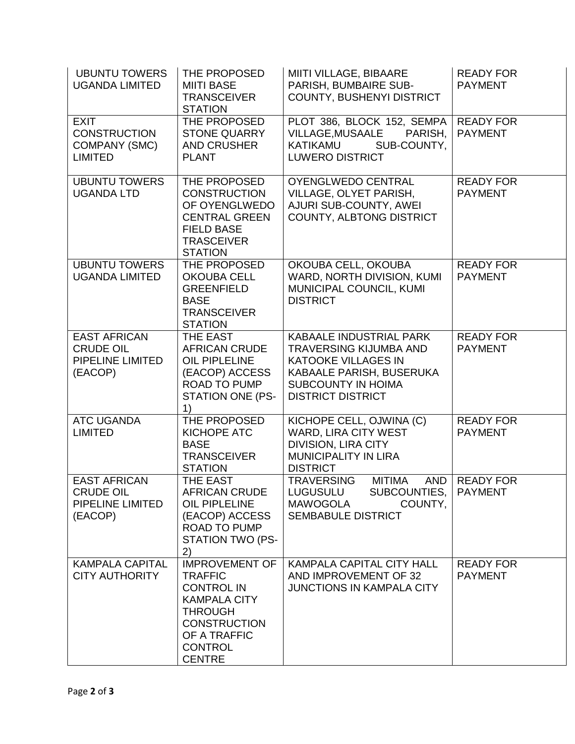| <b>UBUNTU TOWERS</b><br><b>UGANDA LIMITED</b>                                 | THE PROPOSED<br><b>MIITI BASE</b><br><b>TRANSCEIVER</b><br><b>STATION</b>                                                                                                       | MIITI VILLAGE, BIBAARE<br>PARISH, BUMBAIRE SUB-<br><b>COUNTY, BUSHENYI DISTRICT</b>                                                                                         | <b>READY FOR</b><br><b>PAYMENT</b> |
|-------------------------------------------------------------------------------|---------------------------------------------------------------------------------------------------------------------------------------------------------------------------------|-----------------------------------------------------------------------------------------------------------------------------------------------------------------------------|------------------------------------|
| <b>EXIT</b><br><b>CONSTRUCTION</b><br>COMPANY (SMC)<br><b>LIMITED</b>         | THE PROPOSED<br><b>STONE QUARRY</b><br><b>AND CRUSHER</b><br><b>PLANT</b>                                                                                                       | PLOT 386, BLOCK 152, SEMPA<br><b>VILLAGE, MUSAALE</b><br>PARISH,<br><b>KATIKAMU</b><br>SUB-COUNTY,<br><b>LUWERO DISTRICT</b>                                                | <b>READY FOR</b><br><b>PAYMENT</b> |
| <b>UBUNTU TOWERS</b><br><b>UGANDA LTD</b>                                     | THE PROPOSED<br><b>CONSTRUCTION</b><br>OF OYENGLWEDO<br><b>CENTRAL GREEN</b><br><b>FIELD BASE</b><br><b>TRASCEIVER</b><br><b>STATION</b>                                        | <b>OYENGLWEDO CENTRAL</b><br>VILLAGE, OLYET PARISH,<br>AJURI SUB-COUNTY, AWEI<br>COUNTY, ALBTONG DISTRICT                                                                   | <b>READY FOR</b><br><b>PAYMENT</b> |
| <b>UBUNTU TOWERS</b><br><b>UGANDA LIMITED</b>                                 | THE PROPOSED<br><b>OKOUBA CELL</b><br><b>GREENFIELD</b><br><b>BASE</b><br><b>TRANSCEIVER</b><br><b>STATION</b>                                                                  | OKOUBA CELL, OKOUBA<br>WARD, NORTH DIVISION, KUMI<br>MUNICIPAL COUNCIL, KUMI<br><b>DISTRICT</b>                                                                             | <b>READY FOR</b><br><b>PAYMENT</b> |
| <b>EAST AFRICAN</b><br><b>CRUDE OIL</b><br><b>PIPELINE LIMITED</b><br>(EACOP) | THE EAST<br><b>AFRICAN CRUDE</b><br><b>OIL PIPLELINE</b><br>(EACOP) ACCESS<br><b>ROAD TO PUMP</b><br>STATION ONE (PS-<br>1)                                                     | KABAALE INDUSTRIAL PARK<br><b>TRAVERSING KIJUMBA AND</b><br><b>KATOOKE VILLAGES IN</b><br>KABAALE PARISH, BUSERUKA<br><b>SUBCOUNTY IN HOIMA</b><br><b>DISTRICT DISTRICT</b> | <b>READY FOR</b><br><b>PAYMENT</b> |
| <b>ATC UGANDA</b><br><b>LIMITED</b>                                           | THE PROPOSED<br>KICHOPE ATC<br><b>BASE</b><br><b>TRANSCEIVER</b><br><b>STATION</b>                                                                                              | KICHOPE CELL, OJWINA (C)<br>WARD, LIRA CITY WEST<br><b>DIVISION, LIRA CITY</b><br><b>MUNICIPALITY IN LIRA</b><br><b>DISTRICT</b>                                            | <b>READY FOR</b><br><b>PAYMENT</b> |
| <b>EAST AFRICAN</b><br><b>CRUDE OIL</b><br>PIPELINE LIMITED<br>(EACOP)        | THE EAST<br><b>AFRICAN CRUDE</b><br><b>OIL PIPLELINE</b><br>(EACOP) ACCESS<br><b>ROAD TO PUMP</b><br><b>STATION TWO (PS-</b><br>2)                                              | <b>MITIMA</b><br>AND<br><b>TRAVERSING</b><br>SUBCOUNTIES,<br><b>LUGUSULU</b><br><b>MAWOGOLA</b><br>COUNTY,<br><b>SEMBABULE DISTRICT</b>                                     | <b>READY FOR</b><br><b>PAYMENT</b> |
| <b>KAMPALA CAPITAL</b><br><b>CITY AUTHORITY</b>                               | <b>IMPROVEMENT OF</b><br><b>TRAFFIC</b><br><b>CONTROL IN</b><br><b>KAMPALA CITY</b><br><b>THROUGH</b><br><b>CONSTRUCTION</b><br>OF A TRAFFIC<br><b>CONTROL</b><br><b>CENTRE</b> | <b>KAMPALA CAPITAL CITY HALL</b><br>AND IMPROVEMENT OF 32<br><b>JUNCTIONS IN KAMPALA CITY</b>                                                                               | <b>READY FOR</b><br><b>PAYMENT</b> |